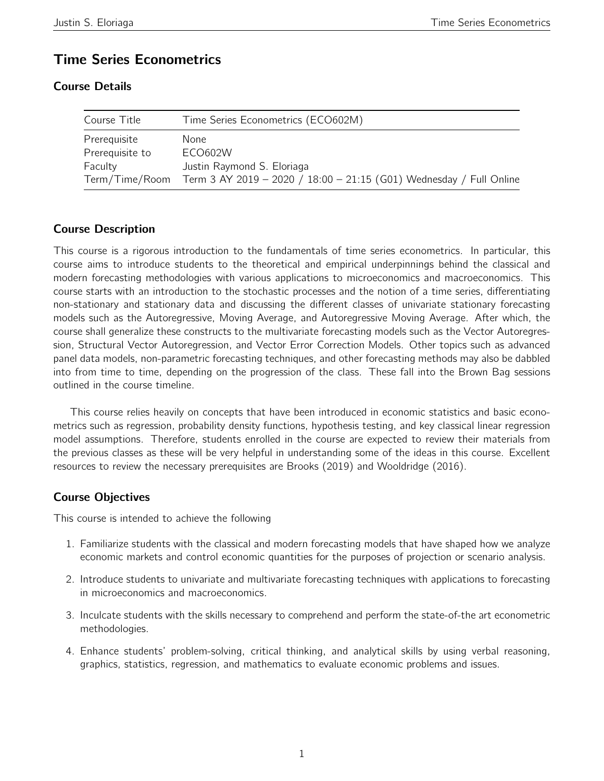# Time Series Econometrics

# Course Details

| Course Title    | Time Series Econometrics (ECO602M)                                                 |  |  |
|-----------------|------------------------------------------------------------------------------------|--|--|
| Prerequisite    | None                                                                               |  |  |
| Prerequisite to | ECO602W                                                                            |  |  |
| Faculty         | Justin Raymond S. Eloriaga                                                         |  |  |
|                 | Term/Time/Room Term 3 AY 2019 - 2020 / 18:00 - 21:15 (G01) Wednesday / Full Online |  |  |

# Course Description

This course is a rigorous introduction to the fundamentals of time series econometrics. In particular, this course aims to introduce students to the theoretical and empirical underpinnings behind the classical and modern forecasting methodologies with various applications to microeconomics and macroeconomics. This course starts with an introduction to the stochastic processes and the notion of a time series, differentiating non-stationary and stationary data and discussing the different classes of univariate stationary forecasting models such as the Autoregressive, Moving Average, and Autoregressive Moving Average. After which, the course shall generalize these constructs to the multivariate forecasting models such as the Vector Autoregression, Structural Vector Autoregression, and Vector Error Correction Models. Other topics such as advanced panel data models, non-parametric forecasting techniques, and other forecasting methods may also be dabbled into from time to time, depending on the progression of the class. These fall into the Brown Bag sessions outlined in the course timeline.

This course relies heavily on concepts that have been introduced in economic statistics and basic econometrics such as regression, probability density functions, hypothesis testing, and key classical linear regression model assumptions. Therefore, students enrolled in the course are expected to review their materials from the previous classes as these will be very helpful in understanding some of the ideas in this course. Excellent resources to review the necessary prerequisites are Brooks (2019) and Wooldridge (2016).

# Course Objectives

This course is intended to achieve the following

- 1. Familiarize students with the classical and modern forecasting models that have shaped how we analyze economic markets and control economic quantities for the purposes of projection or scenario analysis.
- 2. Introduce students to univariate and multivariate forecasting techniques with applications to forecasting in microeconomics and macroeconomics.
- 3. Inculcate students with the skills necessary to comprehend and perform the state-of-the art econometric methodologies.
- 4. Enhance students' problem-solving, critical thinking, and analytical skills by using verbal reasoning, graphics, statistics, regression, and mathematics to evaluate economic problems and issues.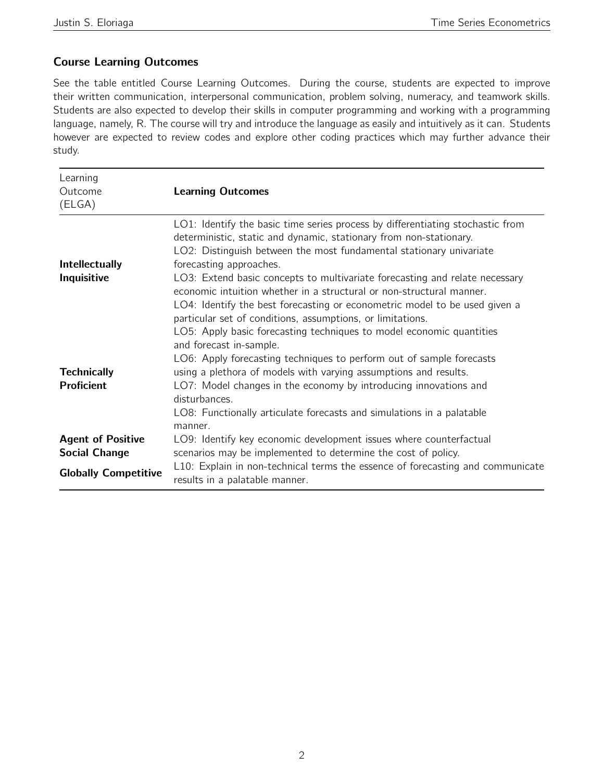# Course Learning Outcomes

See the table entitled Course Learning Outcomes. During the course, students are expected to improve their written communication, interpersonal communication, problem solving, numeracy, and teamwork skills. Students are also expected to develop their skills in computer programming and working with a programming language, namely, R. The course will try and introduce the language as easily and intuitively as it can. Students however are expected to review codes and explore other coding practices which may further advance their study.

| Learning<br>Outcome<br>(ELGA)                    | <b>Learning Outcomes</b>                                                                                                                                                                                                                                                                                                                                                                                      |
|--------------------------------------------------|---------------------------------------------------------------------------------------------------------------------------------------------------------------------------------------------------------------------------------------------------------------------------------------------------------------------------------------------------------------------------------------------------------------|
| Intellectually<br>Inquisitive                    | LO1: Identify the basic time series process by differentiating stochastic from<br>deterministic, static and dynamic, stationary from non-stationary.<br>LO2: Distinguish between the most fundamental stationary univariate<br>forecasting approaches.<br>LO3: Extend basic concepts to multivariate forecasting and relate necessary<br>economic intuition whether in a structural or non-structural manner. |
| <b>Technically</b>                               | LO4: Identify the best forecasting or econometric model to be used given a<br>particular set of conditions, assumptions, or limitations.<br>LO5: Apply basic forecasting techniques to model economic quantities<br>and forecast in-sample.<br>LO6: Apply forecasting techniques to perform out of sample forecasts<br>using a plethora of models with varying assumptions and results.                       |
| <b>Proficient</b>                                | LO7: Model changes in the economy by introducing innovations and<br>disturbances.<br>LO8: Functionally articulate forecasts and simulations in a palatable<br>manner.                                                                                                                                                                                                                                         |
| <b>Agent of Positive</b><br><b>Social Change</b> | LO9: Identify key economic development issues where counterfactual<br>scenarios may be implemented to determine the cost of policy.<br>L10: Explain in non-technical terms the essence of forecasting and communicate                                                                                                                                                                                         |
| <b>Globally Competitive</b>                      | results in a palatable manner.                                                                                                                                                                                                                                                                                                                                                                                |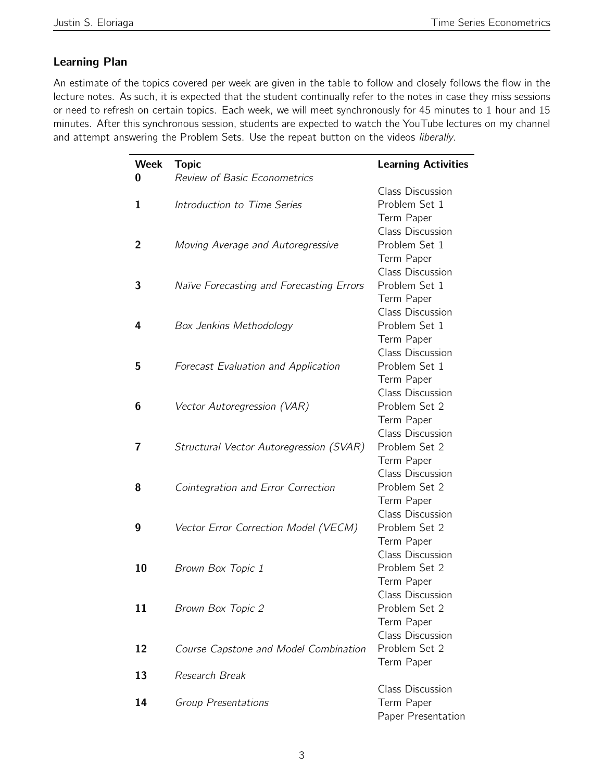# Learning Plan

 $\overline{a}$ 

An estimate of the topics covered per week are given in the table to follow and closely follows the flow in the lecture notes. As such, it is expected that the student continually refer to the notes in case they miss sessions or need to refresh on certain topics. Each week, we will meet synchronously for 45 minutes to 1 hour and 15 minutes. After this synchronous session, students are expected to watch the YouTube lectures on my channel and attempt answering the Problem Sets. Use the repeat button on the videos liberally.

| <b>Week</b> | <b>Topic</b>                               | <b>Learning Activities</b> |
|-------------|--------------------------------------------|----------------------------|
| U           | <b>Review of Basic Econometrics</b>        |                            |
|             |                                            | <b>Class Discussion</b>    |
| 1           | Introduction to Time Series                | Problem Set 1              |
|             |                                            | Term Paper                 |
|             |                                            | <b>Class Discussion</b>    |
| 2           | Moving Average and Autoregressive          | Problem Set 1              |
|             |                                            | Term Paper                 |
|             |                                            | Class Discussion           |
| 3           | Naïve Forecasting and Forecasting Errors   | Problem Set 1              |
|             |                                            | Term Paper                 |
|             |                                            | <b>Class Discussion</b>    |
| 4           | <b>Box Jenkins Methodology</b>             | Problem Set 1              |
|             |                                            | Term Paper                 |
|             |                                            | <b>Class Discussion</b>    |
| 5           | <b>Forecast Evaluation and Application</b> | Problem Set 1              |
|             |                                            | Term Paper                 |
|             |                                            | <b>Class Discussion</b>    |
| 6           | Vector Autoregression (VAR)                | Problem Set 2              |
|             |                                            | Term Paper                 |
|             |                                            | <b>Class Discussion</b>    |
| 7           | Structural Vector Autoregression (SVAR)    | Problem Set 2              |
|             |                                            | Term Paper                 |
|             |                                            | <b>Class Discussion</b>    |
| 8           | Cointegration and Error Correction         | Problem Set 2              |
|             |                                            | Term Paper                 |
|             |                                            | <b>Class Discussion</b>    |
| 9           | Vector Error Correction Model (VECM)       | Problem Set 2              |
|             |                                            | Term Paper                 |
|             |                                            | <b>Class Discussion</b>    |
| 10          | Brown Box Topic 1                          | Problem Set 2              |
|             |                                            | Term Paper                 |
|             |                                            | Class Discussion           |
| 11          | Brown Box Topic 2                          | Problem Set 2              |
|             |                                            | Term Paper                 |
|             |                                            | <b>Class Discussion</b>    |
| 12          | Course Capstone and Model Combination      | Problem Set 2              |
|             |                                            | Term Paper                 |
| 13          | Research Break                             |                            |
|             |                                            | <b>Class Discussion</b>    |
| 14          | Group Presentations                        | Term Paper                 |
|             |                                            | Paper Presentation         |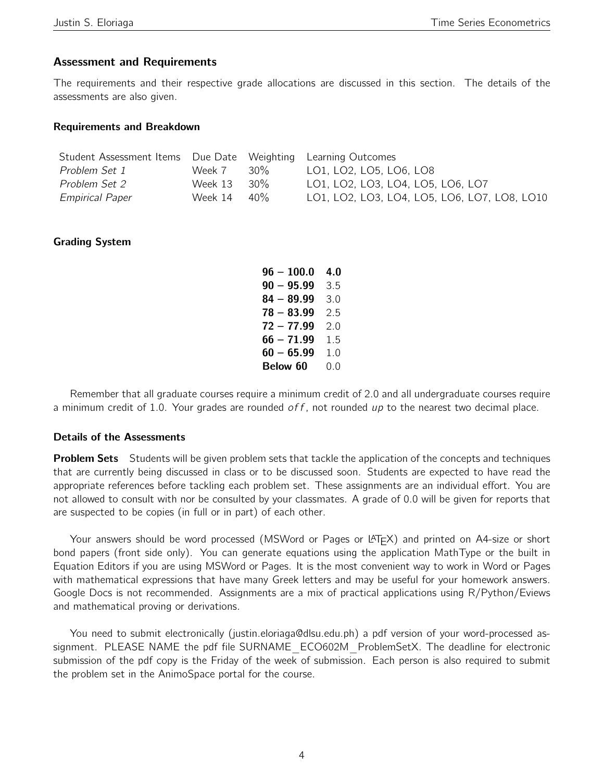### Assessment and Requirements

The requirements and their respective grade allocations are discussed in this section. The details of the assessments are also given.

#### Requirements and Breakdown

| Student Assessment Items Due Date Weighting Learning Outcomes |             |     |                                              |
|---------------------------------------------------------------|-------------|-----|----------------------------------------------|
| Problem Set 1                                                 | Week 7      | 30% | LO1, LO2, LO5, LO6, LO8                      |
| <i>Problem Set 2</i>                                          | Week 13 30% |     | LO1, LO2, LO3, LO4, LO5, LO6, LO7            |
| <i><b>Empirical Paper</b></i>                                 | Week 14 40% |     | LO1, LO2, LO3, LO4, LO5, LO6, LO7, LO8, LO10 |

### Grading System

| $96 - 100.0$ | 4.0 |
|--------------|-----|
| $90 - 95.99$ | 3.5 |
| $84 - 89.99$ | 3.0 |
| $78 - 83.99$ | 2.5 |
| $72 - 77.99$ | 2.0 |
| $66 - 71.99$ | 1.5 |
| $60 - 65.99$ | 1.0 |
| Below 60     | 0.0 |

Remember that all graduate courses require a minimum credit of 2.0 and all undergraduate courses require a minimum credit of 1.0. Your grades are rounded  $\sigma ff$ , not rounded up to the nearest two decimal place.

#### Details of the Assessments

**Problem Sets** Students will be given problem sets that tackle the application of the concepts and techniques that are currently being discussed in class or to be discussed soon. Students are expected to have read the appropriate references before tackling each problem set. These assignments are an individual effort. You are not allowed to consult with nor be consulted by your classmates. A grade of 0.0 will be given for reports that are suspected to be copies (in full or in part) of each other.

Your answers should be word processed (MSWord or Pages or  $LT$  $F^X$ ) and printed on A4-size or short bond papers (front side only). You can generate equations using the application MathType or the built in Equation Editors if you are using MSWord or Pages. It is the most convenient way to work in Word or Pages with mathematical expressions that have many Greek letters and may be useful for your homework answers. Google Docs is not recommended. Assignments are a mix of practical applications using R/Python/Eviews and mathematical proving or derivations.

You need to submit electronically (justin.eloriaga@dlsu.edu.ph) a pdf version of your word-processed assignment. PLEASE NAME the pdf file SURNAME\_ECO602M\_ProblemSetX. The deadline for electronic submission of the pdf copy is the Friday of the week of submission. Each person is also required to submit the problem set in the AnimoSpace portal for the course.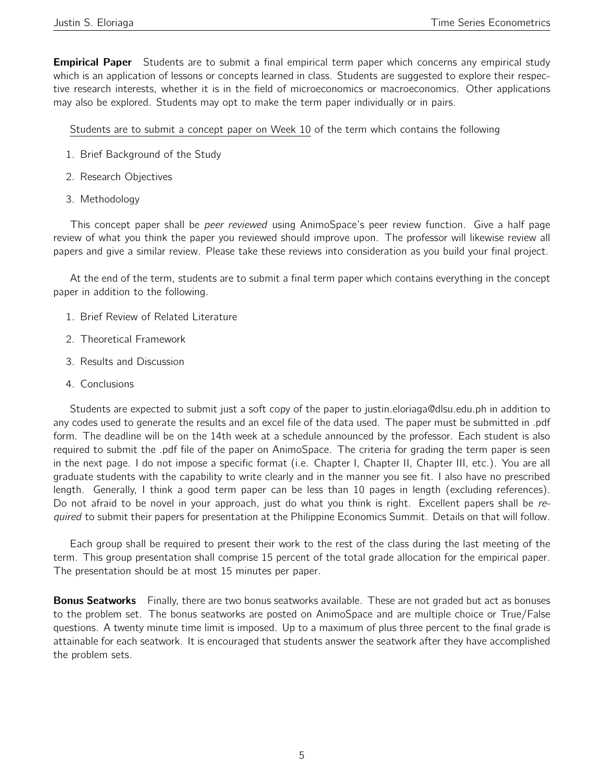**Empirical Paper** Students are to submit a final empirical term paper which concerns any empirical study which is an application of lessons or concepts learned in class. Students are suggested to explore their respective research interests, whether it is in the field of microeconomics or macroeconomics. Other applications may also be explored. Students may opt to make the term paper individually or in pairs.

Students are to submit a concept paper on Week 10 of the term which contains the following

- 1. Brief Background of the Study
- 2. Research Objectives
- 3. Methodology

This concept paper shall be *peer reviewed* using AnimoSpace's peer review function. Give a half page review of what you think the paper you reviewed should improve upon. The professor will likewise review all papers and give a similar review. Please take these reviews into consideration as you build your final project.

At the end of the term, students are to submit a final term paper which contains everything in the concept paper in addition to the following.

- 1. Brief Review of Related Literature
- 2. Theoretical Framework
- 3. Results and Discussion
- 4. Conclusions

Students are expected to submit just a soft copy of the paper to justin.eloriaga@dlsu.edu.ph in addition to any codes used to generate the results and an excel file of the data used. The paper must be submitted in .pdf form. The deadline will be on the 14th week at a schedule announced by the professor. Each student is also required to submit the .pdf file of the paper on AnimoSpace. The criteria for grading the term paper is seen in the next page. I do not impose a specific format (i.e. Chapter I, Chapter II, Chapter III, etc.). You are all graduate students with the capability to write clearly and in the manner you see fit. I also have no prescribed length. Generally, I think a good term paper can be less than 10 pages in length (excluding references). Do not afraid to be novel in your approach, just do what you think is right. Excellent papers shall be required to submit their papers for presentation at the Philippine Economics Summit. Details on that will follow.

Each group shall be required to present their work to the rest of the class during the last meeting of the term. This group presentation shall comprise 15 percent of the total grade allocation for the empirical paper. The presentation should be at most 15 minutes per paper.

**Bonus Seatworks** Finally, there are two bonus seatworks available. These are not graded but act as bonuses to the problem set. The bonus seatworks are posted on AnimoSpace and are multiple choice or True/False questions. A twenty minute time limit is imposed. Up to a maximum of plus three percent to the final grade is attainable for each seatwork. It is encouraged that students answer the seatwork after they have accomplished the problem sets.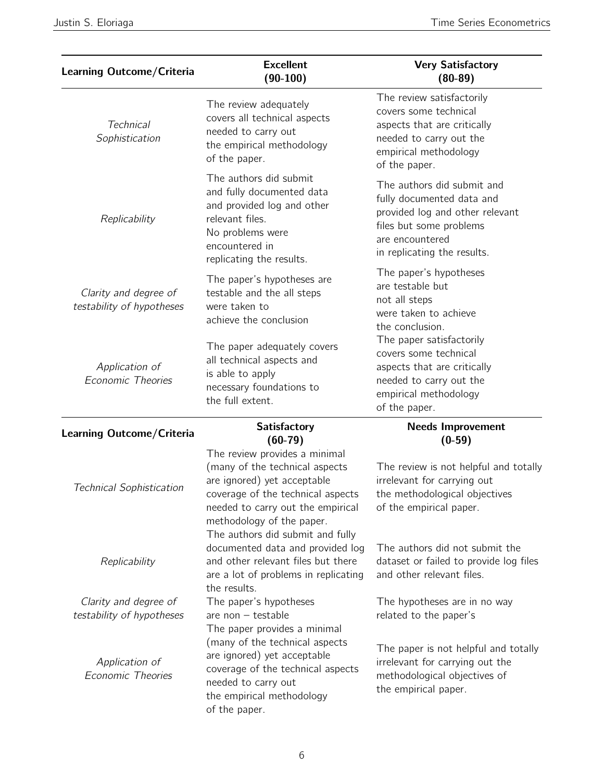| <b>Learning Outcome/Criteria</b>                   | <b>Excellent</b><br>$(90-100)$                                                                                                                                                                       | <b>Very Satisfactory</b><br>$(80-89)$                                                                                                                                   |
|----------------------------------------------------|------------------------------------------------------------------------------------------------------------------------------------------------------------------------------------------------------|-------------------------------------------------------------------------------------------------------------------------------------------------------------------------|
| <b>Technical</b><br>Sophistication                 | The review adequately<br>covers all technical aspects<br>needed to carry out<br>the empirical methodology<br>of the paper.                                                                           | The review satisfactorily<br>covers some technical<br>aspects that are critically<br>needed to carry out the<br>empirical methodology<br>of the paper.                  |
| Replicability                                      | The authors did submit<br>and fully documented data<br>and provided log and other<br>relevant files.<br>No problems were<br>encountered in<br>replicating the results.                               | The authors did submit and<br>fully documented data and<br>provided log and other relevant<br>files but some problems<br>are encountered<br>in replicating the results. |
| Clarity and degree of<br>testability of hypotheses | The paper's hypotheses are<br>testable and the all steps<br>were taken to<br>achieve the conclusion                                                                                                  | The paper's hypotheses<br>are testable but<br>not all steps<br>were taken to achieve<br>the conclusion.                                                                 |
| Application of<br>Economic Theories                | The paper adequately covers<br>all technical aspects and<br>is able to apply<br>necessary foundations to<br>the full extent.                                                                         | The paper satisfactorily<br>covers some technical<br>aspects that are critically<br>needed to carry out the<br>empirical methodology<br>of the paper.                   |
| Learning Outcome/Criteria                          | <b>Satisfactory</b><br>$(60-79)$                                                                                                                                                                     | <b>Needs Improvement</b><br>$(0-59)$                                                                                                                                    |
| <b>Technical Sophistication</b>                    | The review provides a minimal<br>(many of the technical aspects<br>are ignored) yet acceptable<br>coverage of the technical aspects<br>needed to carry out the empirical<br>methodology of the naner | The review is not helpful and totally<br>irrelevant for carrying out<br>the methodological objectives<br>of the empirical paper.                                        |

Justin S. Eloriaga **Time Series Econometrics** 

| testability of hypotheses                          | were taken to<br>achieve the conclusion                                                                                                                                                               | TIUL AII SLEPS<br>were taken to achieve<br>the conclusion.                                                                                            |  |
|----------------------------------------------------|-------------------------------------------------------------------------------------------------------------------------------------------------------------------------------------------------------|-------------------------------------------------------------------------------------------------------------------------------------------------------|--|
| Application of<br><b>Economic Theories</b>         | The paper adequately covers<br>all technical aspects and<br>is able to apply<br>necessary foundations to<br>the full extent.                                                                          | The paper satisfactorily<br>covers some technical<br>aspects that are critically<br>needed to carry out the<br>empirical methodology<br>of the paper. |  |
| Learning Outcome/Criteria                          | <b>Satisfactory</b><br>$(60-79)$                                                                                                                                                                      | <b>Needs Improvement</b><br>$(0-59)$                                                                                                                  |  |
| <b>Technical Sophistication</b>                    | The review provides a minimal<br>(many of the technical aspects<br>are ignored) yet acceptable<br>coverage of the technical aspects<br>needed to carry out the empirical<br>methodology of the paper. | The review is not helpful and totally<br>irrelevant for carrying out<br>the methodological objectives<br>of the empirical paper.                      |  |
| Replicability                                      | The authors did submit and fully<br>documented data and provided log<br>and other relevant files but there<br>are a lot of problems in replicating<br>the results.                                    | The authors did not submit the<br>dataset or failed to provide log files<br>and other relevant files.                                                 |  |
| Clarity and degree of<br>testability of hypotheses | The paper's hypotheses<br>are non $-$ testable<br>The paper provides a minimal                                                                                                                        | The hypotheses are in no way<br>related to the paper's                                                                                                |  |
| Application of<br><b>Economic Theories</b>         | (many of the technical aspects<br>are ignored) yet acceptable<br>coverage of the technical aspects<br>needed to carry out<br>the empirical methodology<br>of the paper.                               | The paper is not helpful and totally<br>irrelevant for carrying out the<br>methodological objectives of<br>the empirical paper.                       |  |
|                                                    |                                                                                                                                                                                                       |                                                                                                                                                       |  |
|                                                    |                                                                                                                                                                                                       |                                                                                                                                                       |  |